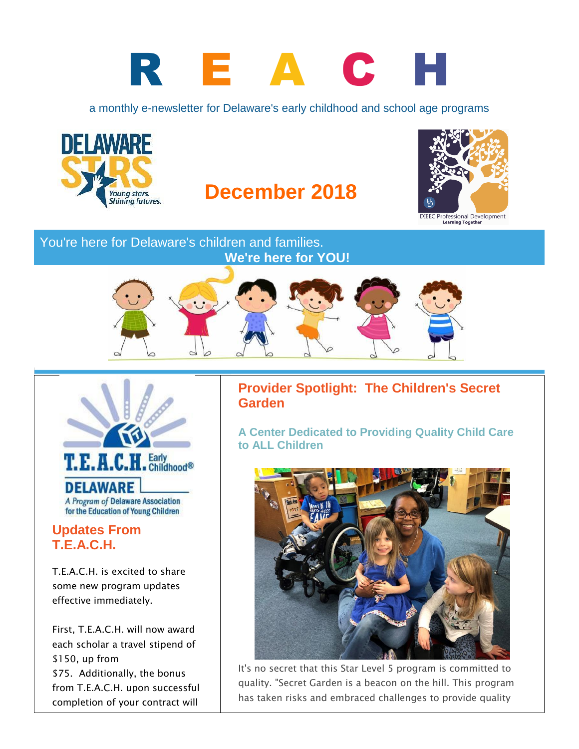# R E A C H

a monthly e-newsletter for Delaware's early childhood and school age programs



# **December 2018**



DIEEC Professional Development<br>Learning Together

#### You're here for Delaware's children and families. **We're here for YOU!**





# **T.E.A.C.H.**

T.E.A.C.H. is excited to share some new program updates effective immediately.

First, T.E.A.C.H. will now award each scholar a travel stipend of \$150, up from \$75. Additionally, the bonus from T.E.A.C.H. upon successful completion of your contract will

#### **Provider Spotlight: The Children's Secret Garden**

**A Center Dedicated to Providing Quality Child Care to ALL Children**



It's no secret that this Star Level 5 program is committed to quality. "Secret Garden is a beacon on the hill. This program has taken risks and embraced challenges to provide quality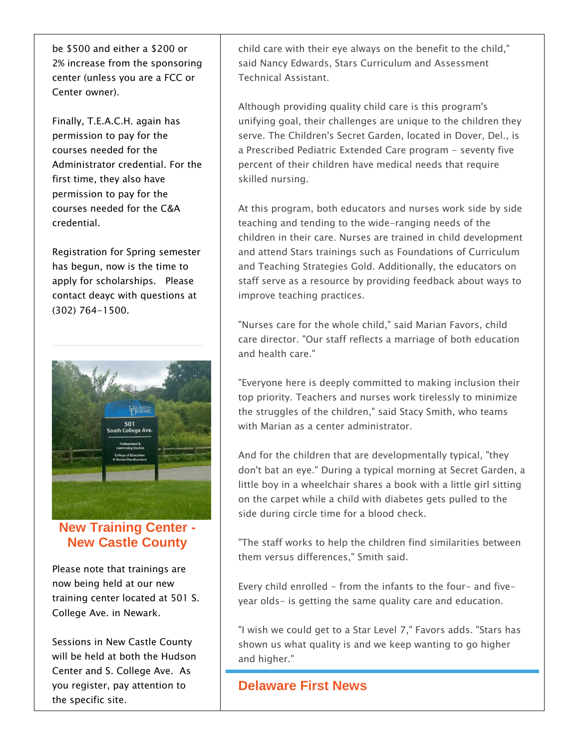be \$500 and either a \$200 or 2% increase from the sponsoring center (unless you are a FCC or Center owner).

Finally, T.E.A.C.H. again has permission to pay for the courses needed for the Administrator credential. For the first time, they also have permission to pay for the courses needed for the C&A credential.

Registration for Spring semester has begun, now is the time to apply for scholarships. Please contact deayc with questions at (302) 764-1500.



**New Training Center - New Castle County**

Please note that trainings are now being held at our new training center located at 501 S. College Ave. in Newark.

Sessions in New Castle County will be held at both the Hudson Center and S. College Ave. As you register, pay attention to the specific site.

child care with their eye always on the benefit to the child," said Nancy Edwards, Stars Curriculum and Assessment Technical Assistant.

Although providing quality child care is this program's unifying goal, their challenges are unique to the children they serve. The Children's Secret Garden, located in Dover, Del., is a Prescribed Pediatric Extended Care program - seventy five percent of their children have medical needs that require skilled nursing.

At this program, both educators and nurses work side by side teaching and tending to the wide-ranging needs of the children in their care. Nurses are trained in child development and attend Stars trainings such as Foundations of Curriculum and Teaching Strategies Gold. Additionally, the educators on staff serve as a resource by providing feedback about ways to improve teaching practices.

"Nurses care for the whole child," said Marian Favors, child care director. "Our staff reflects a marriage of both education and health care."

"Everyone here is deeply committed to making inclusion their top priority. Teachers and nurses work tirelessly to minimize the struggles of the children," said Stacy Smith, who teams with Marian as a center administrator.

And for the children that are developmentally typical, "they don't bat an eye." During a typical morning at Secret Garden, a little boy in a wheelchair shares a book with a little girl sitting on the carpet while a child with diabetes gets pulled to the side during circle time for a blood check.

"The staff works to help the children find similarities between them versus differences," Smith said.

Every child enrolled - from the infants to the four- and fiveyear olds- is getting the same quality care and education.

"I wish we could get to a Star Level 7," Favors adds. "Stars has shown us what quality is and we keep wanting to go higher and higher."

#### **Delaware First News**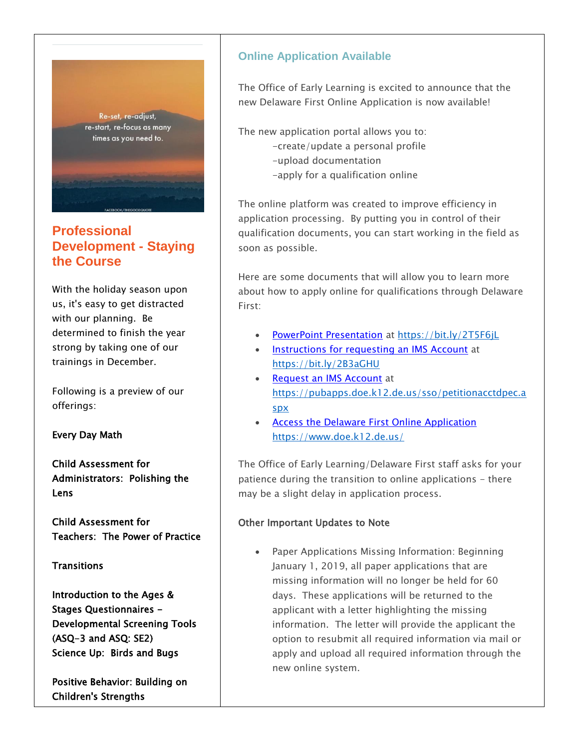

#### **Professional Development - Staying the Course**

With the holiday season upon us, it's easy to get distracted with our planning. Be determined to finish the year strong by taking one of our trainings in December.

Following is a preview of our offerings:

Every Day Math

Child Assessment for Administrators: Polishing the Lens

Child Assessment for Teachers: The Power of Practice

**Transitions** 

Introduction to the Ages & Stages Questionnaires - Developmental Screening Tools (ASQ-3 and ASQ: SE2) Science Up: Birds and Bugs

Positive Behavior: Building on Children's Strengths

#### **Online Application Available**

The Office of Early Learning is excited to announce that the new Delaware First Online Application is now available!

The new application portal allows you to:

- -create/update a personal profile
- -upload documentation
- -apply for a qualification online

The online platform was created to improve efficiency in application processing. By putting you in control of their qualification documents, you can start working in the field as soon as possible.

Here are some documents that will allow you to learn more about how to apply online for qualifications through Delaware First:

- [PowerPoint Presentation](http://r20.rs6.net/tn.jsp?f=001wLMyT-9qEKP477pi46pFrbAv3MQrZckamvTyK8nCfy8SyGtfyEUspEIc-Z2A7PHt1-PP7f3peSU7tkiRPbNFuJqOyJGq6Zgg4TlD-adaQ-cJ6yFfdii19R7-D-RemeAk9VlHa7O4-Rbt65xed7UYzOPMXZVhoCMqgy-h34GI5zVYNMqe5FYjqjt1ZQK7eU_ID2DXXg5vlQRpxElURODGhsuxLy9fRPu8goPkNJI589NRDbKsBEQrq41gRnPfUxf2&c=l-tRKdJ55xGD3jfGhAFMz7SvWOPTEZMs2hFWE5bNtchnh3inZUm-IQ==&ch=zMnbloZ_AJk8ZAPUCSqmkzO5471cjZITkPamU3cxQFbCt8Ab4-q4Jw==) at<https://bit.ly/2T5F6jL>
- [Instructions for requesting an IMS Account](http://r20.rs6.net/tn.jsp?f=001wLMyT-9qEKP477pi46pFrbAv3MQrZckamvTyK8nCfy8SyGtfyEUspEIc-Z2A7PHt9jqdR5FoXYH-CoJtxLJ_j0TLzKDVO8t6K3PT5JaobWgEfPOqBzsQFG9fpyg1FJC42Ww4oAfvUNjX8ZYzNXiNpK4Zi_peWfw6bpesqqEE9NRpfLsMUT1KPtnvP-VDCo9iipfnMyAe-8F14H7x-48bRyuD4wq5XErhf3PsdtuxX5wMCMgvEfSXcktowECMRY4g&c=l-tRKdJ55xGD3jfGhAFMz7SvWOPTEZMs2hFWE5bNtchnh3inZUm-IQ==&ch=zMnbloZ_AJk8ZAPUCSqmkzO5471cjZITkPamU3cxQFbCt8Ab4-q4Jw==) at <https://bit.ly/2B3aGHU>
- [Request an IMS Account](http://r20.rs6.net/tn.jsp?f=001wLMyT-9qEKP477pi46pFrbAv3MQrZckamvTyK8nCfy8SyGtfyEUspEIc-Z2A7PHtFOZR4B4i3swioOpz_QK2tRZ8HSZUcWQMDTl6hsi_rm0RrOFLBCSw4lMOiJOzmm3xquyY6we2_SuYsGunrqMTGO-kVqAdGQntC3y7MFKgI5ad0cVlR-08HD1TRnnqMITac-4aBAjXxE0KdQ2RkysxSA==&c=l-tRKdJ55xGD3jfGhAFMz7SvWOPTEZMs2hFWE5bNtchnh3inZUm-IQ==&ch=zMnbloZ_AJk8ZAPUCSqmkzO5471cjZITkPamU3cxQFbCt8Ab4-q4Jw==) at [https://pubapps.doe.k12.de.us/sso/petitionacctdpec.a](https://pubapps.doe.k12.de.us/sso/petitionacctdpec.aspx) [spx](https://pubapps.doe.k12.de.us/sso/petitionacctdpec.aspx)
- [Access the Delaware First Online Application](http://r20.rs6.net/tn.jsp?f=001wLMyT-9qEKP477pi46pFrbAv3MQrZckamvTyK8nCfy8SyGtfyEUspEIc-Z2A7PHt8SUxmu3G2I1yCCPt8argGSP6z13uHMOYKXap8x_943G9RR5jsguOkKB2_hSVWPvB47QTgQ3YpAZOglCUeW3d0LGYIcr1vaTkyyu2j8eyCtTTIL4alZdwNw==&c=l-tRKdJ55xGD3jfGhAFMz7SvWOPTEZMs2hFWE5bNtchnh3inZUm-IQ==&ch=zMnbloZ_AJk8ZAPUCSqmkzO5471cjZITkPamU3cxQFbCt8Ab4-q4Jw==) <https://www.doe.k12.de.us/>

The Office of Early Learning/Delaware First staff asks for your patience during the transition to online applications - there may be a slight delay in application process.

#### Other Important Updates to Note

 Paper Applications Missing Information: Beginning January 1, 2019, all paper applications that are missing information will no longer be held for 60 days. These applications will be returned to the applicant with a letter highlighting the missing information. The letter will provide the applicant the option to resubmit all required information via mail or apply and upload all required information through the new online system.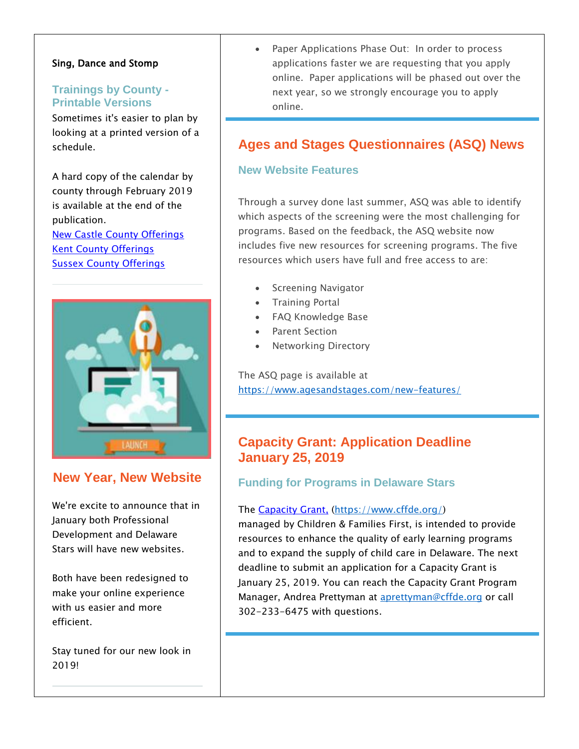#### Sing, Dance and Stomp

#### **Trainings by County - Printable Versions**

Sometimes it's easier to plan by looking at a printed version of a schedule.

A hard copy of the calendar by county through February 2019 is available at the end of the publication. [New Castle County Offerings](http://r20.rs6.net/tn.jsp?f=001wLMyT-9qEKP477pi46pFrbAv3MQrZckamvTyK8nCfy8SyGtfyEUspCPsbBN2v09VjnXRHUbL2XnfLGeLxiCp4Xy21O5r0hU4OKO9OjwXGNt6e8fCXNjt5K9O4JNQl9R_K27AhBFwWtD4M2SwiD-p7npn6-tU08Z4WhF4SJV0I7iEtD4AGh2Zzp0aS_ImI2u7lDnTUWinaofgZDMnyDEHqTCigXM8sjUpIfWhSyl5S2yu-t0W3MUTTb2v0aKkiH3Q&c=l-tRKdJ55xGD3jfGhAFMz7SvWOPTEZMs2hFWE5bNtchnh3inZUm-IQ==&ch=zMnbloZ_AJk8ZAPUCSqmkzO5471cjZITkPamU3cxQFbCt8Ab4-q4Jw==) [Kent County Offerings](http://r20.rs6.net/tn.jsp?f=001wLMyT-9qEKP477pi46pFrbAv3MQrZckamvTyK8nCfy8SyGtfyEUspCPsbBN2v09Vs7yJAuYRTe6_qYIoDHO8KTzFcnoUzxJnWnQ024_v0ZbamGCeNM-AjQQtdfL_qHtrewRPsjs-_rDkNnA4fCP-1TVLfrUeHzQefZGOhyyFoYnzFyhNdkzGgchGVYJHZ6d1lwp-0L1RQsEj18mDLkG2h4oaZrDe9A9YfJLj9EFiaQAU8tvZhrTjYTRwnsFaAAmW&c=l-tRKdJ55xGD3jfGhAFMz7SvWOPTEZMs2hFWE5bNtchnh3inZUm-IQ==&ch=zMnbloZ_AJk8ZAPUCSqmkzO5471cjZITkPamU3cxQFbCt8Ab4-q4Jw==) **[Sussex County Offerings](http://r20.rs6.net/tn.jsp?f=001wLMyT-9qEKP477pi46pFrbAv3MQrZckamvTyK8nCfy8SyGtfyEUspCPsbBN2v09VGP3yiL2j_Uc_Eke2gGygq7ez6ozzbXnqtoItl7hdl4YIfH9AYQj1-BxYitBrtWXHnNqvw3St7M_xLph_n2pJvdw1CBt3twGKtrLixKHoko_EnWJr-xle-gyOplmnRPvQZgQEeCb74jLlNwCRcDd5AFfAWE517zT0-Oy7Cgde7Ut8IHImXS4DE0JfR7cEo2Sc&c=l-tRKdJ55xGD3jfGhAFMz7SvWOPTEZMs2hFWE5bNtchnh3inZUm-IQ==&ch=zMnbloZ_AJk8ZAPUCSqmkzO5471cjZITkPamU3cxQFbCt8Ab4-q4Jw==)** 



#### **New Year, New Website**

We're excite to announce that in January both Professional Development and Delaware Stars will have new websites.

Both have been redesigned to make your online experience with us easier and more efficient.

Stay tuned for our new look in 2019!

 Paper Applications Phase Out: In order to process applications faster we are requesting that you apply online. Paper applications will be phased out over the next year, so we strongly encourage you to apply online.

#### **Ages and Stages Questionnaires (ASQ) News**

#### **New Website Features**

Through a survey done last summer, ASQ was able to identify which aspects of the screening were the most challenging for programs. Based on the feedback, the ASQ website now includes five new resources for screening programs. The five resources which users have full and free access to are:

- Screening Navigator
- **•** Training Portal
- FAQ Knowledge Base
- Parent Section
- Networking Directory

The ASQ page is available at <https://www.agesandstages.com/new-features/>

#### **Capacity Grant: Application Deadline January 25, 2019**

#### **Funding for Programs in Delaware Stars**

#### The [Capacity Grant,](http://r20.rs6.net/tn.jsp?f=001wLMyT-9qEKP477pi46pFrbAv3MQrZckamvTyK8nCfy8SyGtfyEUspIHDaCTDNGAyE5fC82iF0myBTVLGmqi9mEEr9R0UPTRAym9HdSJAT-iudv5djlLclnwW3sa29XIb1AtpbPSGPMUv9tq4eRNoqGkNvLPHV3wbHB-p2ZPzrLA=&c=l-tRKdJ55xGD3jfGhAFMz7SvWOPTEZMs2hFWE5bNtchnh3inZUm-IQ==&ch=zMnbloZ_AJk8ZAPUCSqmkzO5471cjZITkPamU3cxQFbCt8Ab4-q4Jw==) [\(https://www.cffde.org/\)](https://www.cffde.org/)

managed by Children & Families First, is intended to provide resources to enhance the quality of early learning programs and to expand the supply of child care in Delaware. The next deadline to submit an application for a Capacity Grant is January 25, 2019. You can reach the Capacity Grant Program Manager, Andrea Prettyman at [aprettyman@cffde.org](mailto:aprettyman@cffde.org) or call 302-233-6475 with questions.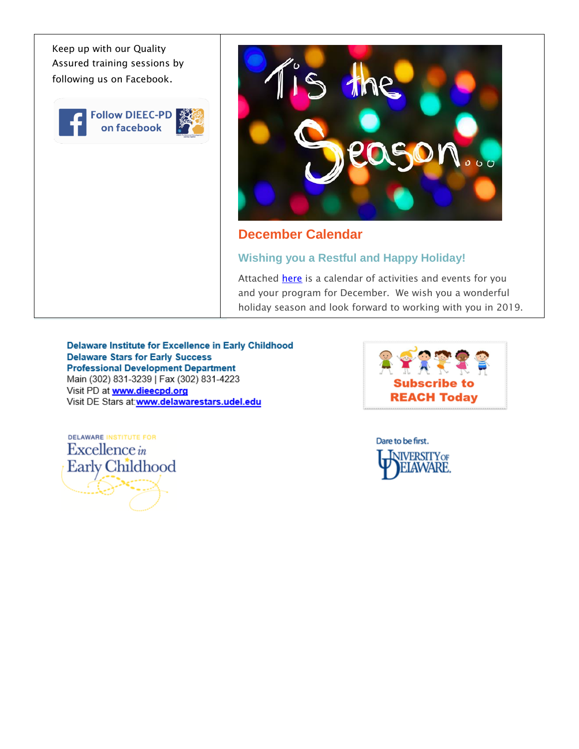Keep up with our Quality Assured training sessions by following us on Facebook.

**Follow DIEEC-PD** on facebook



#### **December Calendar**

#### **Wishing you a Restful and Happy Holiday!**

Attached [here](http://r20.rs6.net/tn.jsp?f=001wLMyT-9qEKP477pi46pFrbAv3MQrZckamvTyK8nCfy8SyGtfyEUspCPsbBN2v09VWPPtR4396bfxkfzm-6C42VUE1UbXcwhG7_r7EnS3kfqGu7o_GQMGu-d-y38_kVWGGdm0eqHcOEeJyrN3Z769xebd0PiWAQbpNgxAGl_knG-kOpEKeXAoFBFHHV4Q5AHaQ6XWoTS8JewaPQaCZKPLehnEw7UEWSRiwHzM0sMPvojjg6Z3kiFPEHXZhVhIly63&c=l-tRKdJ55xGD3jfGhAFMz7SvWOPTEZMs2hFWE5bNtchnh3inZUm-IQ==&ch=zMnbloZ_AJk8ZAPUCSqmkzO5471cjZITkPamU3cxQFbCt8Ab4-q4Jw==) is a calendar of activities and events for you and your program for December. We wish you a wonderful holiday season and look forward to working with you in 2019.

Delaware Institute for Excellence in Early Childhood **Delaware Stars for Early Success Professional Development Department** Main (302) 831-3239 | Fax (302) 831-4223 Visit PD at www.dieecpd.org Visit DE Stars at:www.delawarestars.udel.edu



**DELAWARE INSTITUTE FOR** Excellence in Early Childhood

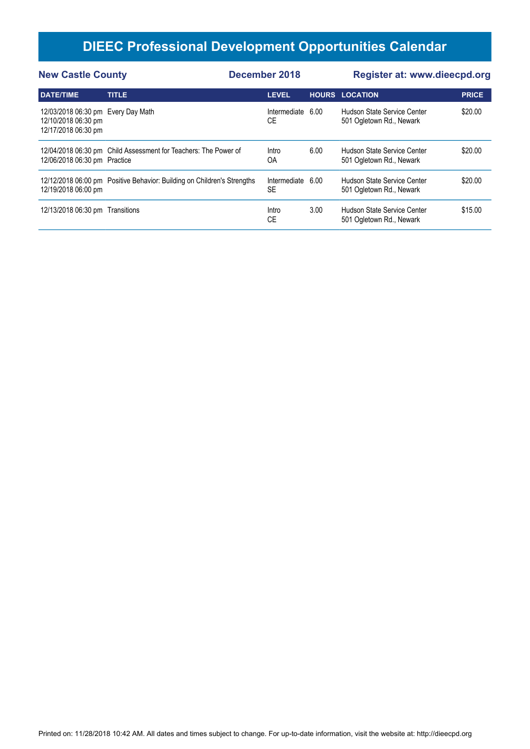| <b>New Castle County</b>                                                         |                                                                         | December 2018 |                           |      | <b>Register at: www.dieecpd.org</b>                     |              |  |
|----------------------------------------------------------------------------------|-------------------------------------------------------------------------|---------------|---------------------------|------|---------------------------------------------------------|--------------|--|
| <b>DATE/TIME</b>                                                                 | <b>TITLE</b>                                                            |               | <b>LEVEL</b>              |      | <b>HOURS LOCATION</b>                                   | <b>PRICE</b> |  |
| 12/03/2018 06:30 pm Every Day Math<br>12/10/2018 06:30 pm<br>12/17/2018 06:30 pm |                                                                         |               | Intermediate<br>СE        | 6.00 | Hudson State Service Center<br>501 Ogletown Rd., Newark | \$20.00      |  |
| 12/06/2018 06:30 pm Practice                                                     | 12/04/2018 06:30 pm Child Assessment for Teachers: The Power of         |               | Intro<br>OA               | 6.00 | Hudson State Service Center<br>501 Ogletown Rd., Newark | \$20.00      |  |
| 12/19/2018 06:00 pm                                                              | 12/12/2018 06:00 pm Positive Behavior: Building on Children's Strengths |               | Intermediate<br><b>SE</b> | 6.00 | Hudson State Service Center<br>501 Ogletown Rd., Newark | \$20.00      |  |
| 12/13/2018 06:30 pm Transitions                                                  |                                                                         |               | Intro<br>СE               | 3.00 | Hudson State Service Center<br>501 Ogletown Rd., Newark | \$15.00      |  |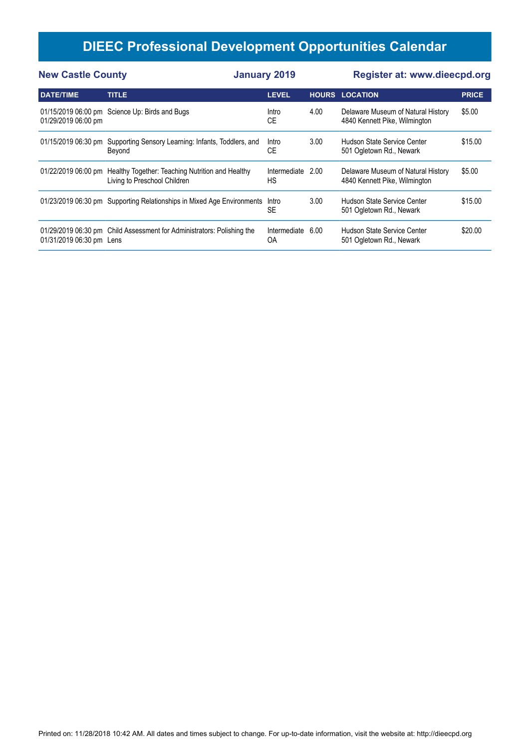| <b>New Castle County</b> |                                                                                  | <b>January 2019</b> |      | Register at: www.dieecpd.org                                        |              |  |
|--------------------------|----------------------------------------------------------------------------------|---------------------|------|---------------------------------------------------------------------|--------------|--|
| <b>DATE/TIME</b>         | <b>TITLE</b>                                                                     | <b>LEVEL</b>        |      | <b>HOURS LOCATION</b>                                               | <b>PRICE</b> |  |
| 01/29/2019 06:00 pm      | 01/15/2019 06:00 pm Science Up: Birds and Bugs                                   | Intro<br>СE         | 4.00 | Delaware Museum of Natural History<br>4840 Kennett Pike, Wilmington | \$5.00       |  |
| 01/15/2019 06:30 pm      | Supporting Sensory Learning: Infants, Toddlers, and<br>Beyond                    | Intro<br>СE         | 3.00 | Hudson State Service Center<br>501 Ogletown Rd., Newark             | \$15.00      |  |
| 01/22/2019 06:00 pm      | Healthy Together: Teaching Nutrition and Healthy<br>Living to Preschool Children | Intermediate<br>НS  | 2.00 | Delaware Museum of Natural History<br>4840 Kennett Pike, Wilmington | \$5.00       |  |
|                          | 01/23/2019 06:30 pm Supporting Relationships in Mixed Age Environments           | Intro<br><b>SE</b>  | 3.00 | Hudson State Service Center<br>501 Ogletown Rd., Newark             | \$15.00      |  |
| 01/31/2019 06:30 pm Lens | 01/29/2019 06:30 pm Child Assessment for Administrators: Polishing the           | Intermediate<br>OA  | 6.00 | Hudson State Service Center<br>501 Ogletown Rd., Newark             | \$20.00      |  |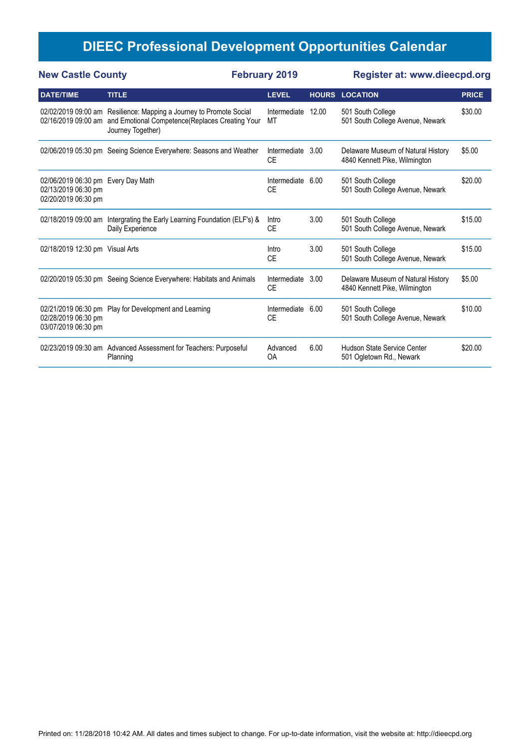| <b>New Castle County</b>                                                         | <b>February 2019</b>                                                                                                                                            |                           | <b>Register at: www.dieecpd.org</b> |                                                                     |              |
|----------------------------------------------------------------------------------|-----------------------------------------------------------------------------------------------------------------------------------------------------------------|---------------------------|-------------------------------------|---------------------------------------------------------------------|--------------|
| <b>DATE/TIME</b>                                                                 | <b>TITLE</b>                                                                                                                                                    | <b>LEVEL</b>              |                                     | <b>HOURS LOCATION</b>                                               | <b>PRICE</b> |
|                                                                                  | 02/02/2019 09:00 am Resilience: Mapping a Journey to Promote Social<br>02/16/2019 09:00 am and Emotional Competence(Replaces Creating Your<br>Journey Together) | Intermediate<br>МT        | 12.00                               | 501 South College<br>501 South College Avenue, Newark               | \$30.00      |
|                                                                                  | 02/06/2019 05:30 pm Seeing Science Everywhere: Seasons and Weather                                                                                              | Intermediate<br><b>CE</b> | 3.00                                | Delaware Museum of Natural History<br>4840 Kennett Pike, Wilmington | \$5.00       |
| 02/06/2019 06:30 pm Every Day Math<br>02/13/2019 06:30 pm<br>02/20/2019 06:30 pm |                                                                                                                                                                 | Intermediate<br><b>CE</b> | 6.00                                | 501 South College<br>501 South College Avenue, Newark               | \$20.00      |
|                                                                                  | 02/18/2019 09:00 am Intergrating the Early Learning Foundation (ELF's) &<br>Daily Experience                                                                    | Intro<br><b>CE</b>        | 3.00                                | 501 South College<br>501 South College Avenue, Newark               | \$15.00      |
| 02/18/2019 12:30 pm Visual Arts                                                  |                                                                                                                                                                 | Intro<br><b>CE</b>        | 3.00                                | 501 South College<br>501 South College Avenue, Newark               | \$15.00      |
|                                                                                  | 02/20/2019 05:30 pm Seeing Science Everywhere: Habitats and Animals                                                                                             | Intermediate<br><b>CE</b> | 3.00                                | Delaware Museum of Natural History<br>4840 Kennett Pike, Wilmington | \$5.00       |
| 02/28/2019 06:30 pm<br>03/07/2019 06:30 pm                                       | 02/21/2019 06:30 pm Play for Development and Learning                                                                                                           | Intermediate<br><b>CE</b> | 6.00                                | 501 South College<br>501 South College Avenue, Newark               | \$10.00      |
|                                                                                  | 02/23/2019 09:30 am Advanced Assessment for Teachers: Purposeful<br>Planning                                                                                    | Advanced<br>OA            | 6.00                                | Hudson State Service Center<br>501 Ogletown Rd., Newark             | \$20.00      |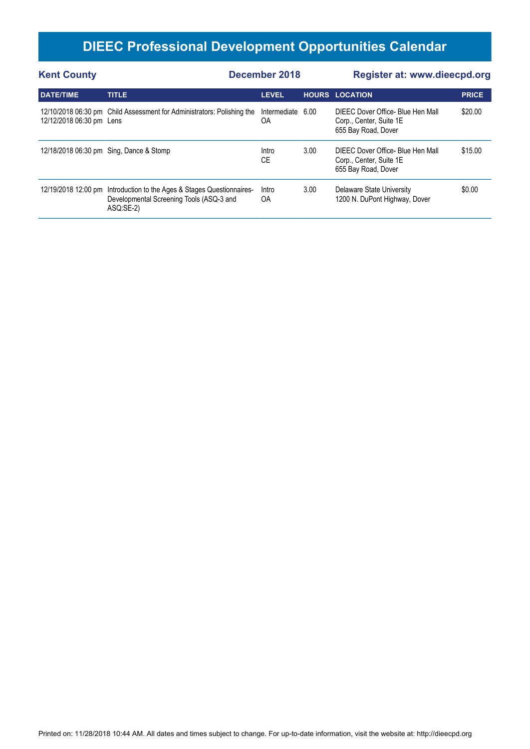| <b>Kent County</b>       |                                                                                                                                | December 2018      |      | Register at: www.dieecpd.org                                                        |              |  |
|--------------------------|--------------------------------------------------------------------------------------------------------------------------------|--------------------|------|-------------------------------------------------------------------------------------|--------------|--|
| <b>DATE/TIME</b>         | <b>TITLE</b>                                                                                                                   | <b>LEVEL</b>       |      | <b>HOURS LOCATION</b>                                                               | <b>PRICE</b> |  |
| 12/12/2018 06:30 pm Lens | 12/10/2018 06:30 pm Child Assessment for Administrators: Polishing the                                                         | Intermediate<br>OΑ | 6.00 | DIEEC Dover Office- Blue Hen Mall<br>Corp., Center, Suite 1E<br>655 Bay Road, Dover | \$20.00      |  |
|                          | 12/18/2018 06:30 pm Sing, Dance & Stomp                                                                                        | Intro<br>СE        | 3.00 | DIEEC Dover Office- Blue Hen Mall<br>Corp., Center, Suite 1E<br>655 Bay Road, Dover | \$15.00      |  |
|                          | 12/19/2018 12:00 pm Introduction to the Ages & Stages Questionnaires-<br>Developmental Screening Tools (ASQ-3 and<br>ASQ:SE-2) | Intro<br>OA        | 3.00 | Delaware State University<br>1200 N. DuPont Highway, Dover                          | \$0.00       |  |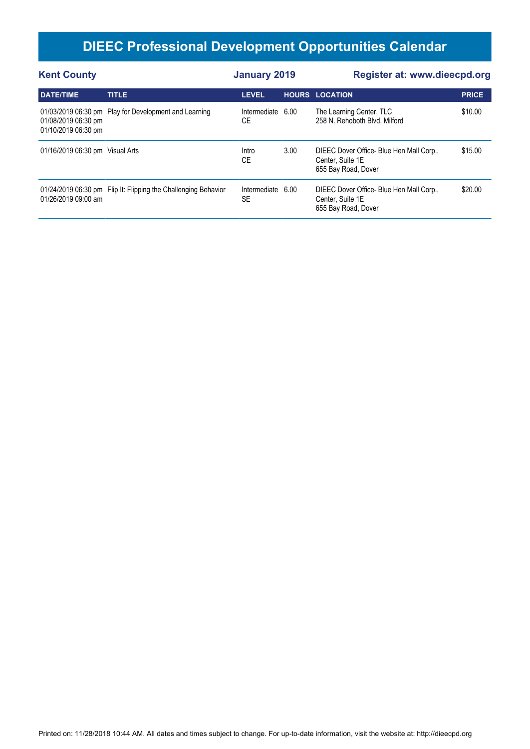| <b>Kent County</b>                         |                                                                | <b>January 2019</b>            |      | Register at: www.dieecpd.org                                                        |              |  |
|--------------------------------------------|----------------------------------------------------------------|--------------------------------|------|-------------------------------------------------------------------------------------|--------------|--|
| <b>DATE/TIME</b>                           | <b>TITLE</b>                                                   | <b>LEVEL</b>                   |      | <b>HOURS LOCATION</b>                                                               | <b>PRICE</b> |  |
| 01/08/2019 06:30 pm<br>01/10/2019 06:30 pm | 01/03/2019 06:30 pm Play for Development and Learning          | Intermediate 6.00<br>СE        |      | The Learning Center, TLC<br>258 N. Rehoboth Blvd, Milford                           | \$10.00      |  |
| 01/16/2019 06:30 pm Visual Arts            |                                                                | Intro<br>СE                    | 3.00 | DIEEC Dover Office- Blue Hen Mall Corp.,<br>Center, Suite 1E<br>655 Bay Road, Dover | \$15.00      |  |
| 01/26/2019 09:00 am                        | 01/24/2019 06:30 pm Flip It: Flipping the Challenging Behavior | Intermediate 6.00<br><b>SE</b> |      | DIEEC Dover Office- Blue Hen Mall Corp.,<br>Center, Suite 1E<br>655 Bay Road, Dover | \$20.00      |  |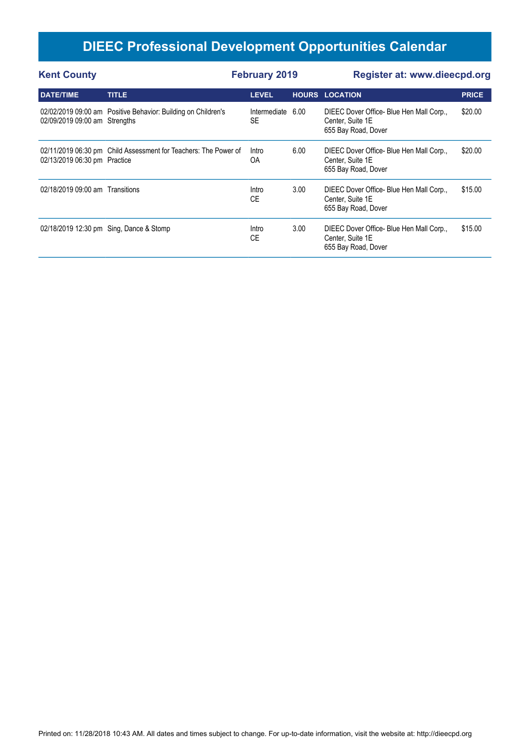| <b>Kent County</b>              |                                                                 | <b>February 2019</b>           |      | <b>Register at: www.dieecpd.org</b>                                                 |              |
|---------------------------------|-----------------------------------------------------------------|--------------------------------|------|-------------------------------------------------------------------------------------|--------------|
| <b>DATE/TIME</b>                | <b>TITLE</b>                                                    | <b>LEVEL</b>                   |      | <b>HOURS LOCATION</b>                                                               | <b>PRICE</b> |
| 02/09/2019 09:00 am Strengths   | 02/02/2019 09:00 am Positive Behavior: Building on Children's   | Intermediate 6.00<br><b>SE</b> |      | DIEEC Dover Office- Blue Hen Mall Corp.,<br>Center, Suite 1E<br>655 Bay Road, Dover | \$20.00      |
| 02/13/2019 06:30 pm Practice    | 02/11/2019 06:30 pm Child Assessment for Teachers: The Power of | Intro<br>OA                    | 6.00 | DIEEC Dover Office- Blue Hen Mall Corp.,<br>Center, Suite 1E<br>655 Bay Road, Dover | \$20.00      |
| 02/18/2019 09:00 am Transitions |                                                                 | Intro<br>CE                    | 3.00 | DIEEC Dover Office- Blue Hen Mall Corp.,<br>Center, Suite 1E<br>655 Bay Road, Dover | \$15.00      |
|                                 | 02/18/2019 12:30 pm Sing, Dance & Stomp                         | Intro<br>CE                    | 3.00 | DIEEC Dover Office- Blue Hen Mall Corp.,<br>Center, Suite 1E<br>655 Bay Road, Dover | \$15.00      |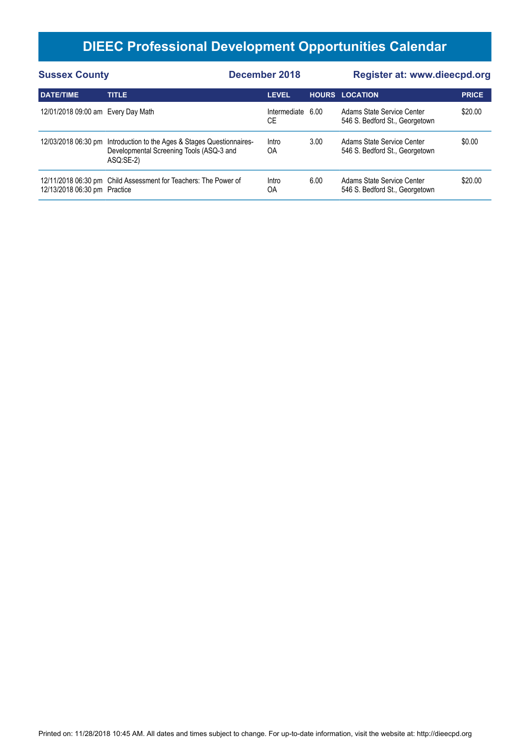| <b>Sussex County</b>               |                                                                                                                                | December 2018      |      | <b>Register at: www.dieecpd.org</b>                          |              |  |
|------------------------------------|--------------------------------------------------------------------------------------------------------------------------------|--------------------|------|--------------------------------------------------------------|--------------|--|
| <b>DATE/TIME</b>                   | <b>TITLE</b>                                                                                                                   | <b>LEVEL</b>       |      | <b>HOURS LOCATION</b>                                        | <b>PRICE</b> |  |
| 12/01/2018 09:00 am Every Day Math |                                                                                                                                | Intermediate<br>CЕ | 6.00 | Adams State Service Center<br>546 S. Bedford St., Georgetown | \$20.00      |  |
|                                    | 12/03/2018 06:30 pm Introduction to the Ages & Stages Questionnaires-<br>Developmental Screening Tools (ASQ-3 and<br>ASQ:SE-2) | Intro<br><b>OA</b> | 3.00 | Adams State Service Center<br>546 S. Bedford St., Georgetown | \$0.00       |  |
| 12/13/2018 06:30 pm Practice       | 12/11/2018 06:30 pm Child Assessment for Teachers: The Power of                                                                | Intro<br>ΟA        | 6.00 | Adams State Service Center<br>546 S. Bedford St., Georgetown | \$20.00      |  |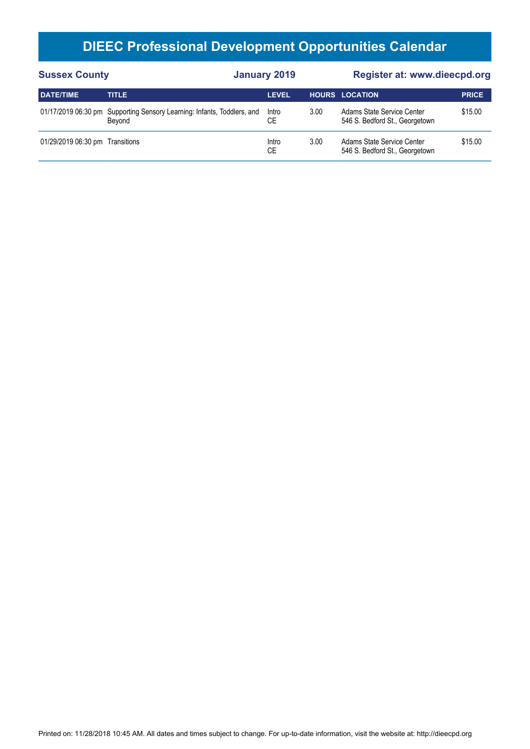| <b>Sussex County</b>            |                                                                                   | <b>January 2019</b> |      | Register at: www.dieecpd.org                                 |              |  |
|---------------------------------|-----------------------------------------------------------------------------------|---------------------|------|--------------------------------------------------------------|--------------|--|
| <b>DATE/TIME</b>                | <b>TITLE</b>                                                                      | <b>LEVEL</b>        |      | <b>HOURS LOCATION</b>                                        | <b>PRICE</b> |  |
|                                 | 01/17/2019 06:30 pm Supporting Sensory Learning: Infants, Toddlers, and<br>Bevond | Intro<br>СE         | 3.00 | Adams State Service Center<br>546 S. Bedford St., Georgetown | \$15.00      |  |
| 01/29/2019 06:30 pm Transitions |                                                                                   | Intro<br>СE         | 3.00 | Adams State Service Center<br>546 S. Bedford St., Georgetown | \$15.00      |  |